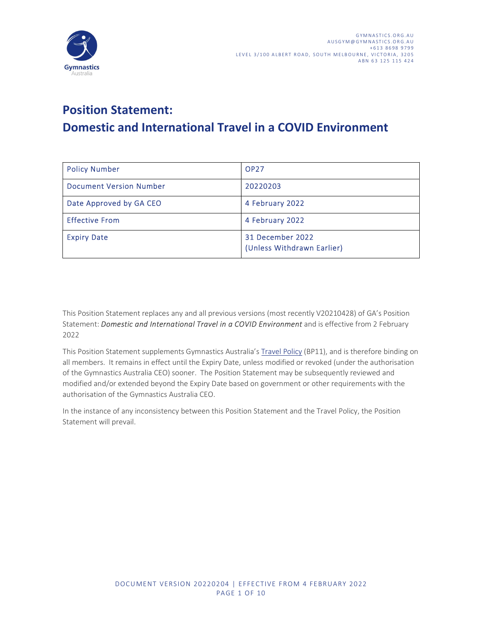

# Domestic and International Travel in a COVID Environment

| <b>Policy Number</b>           | <b>OP27</b>                                    |
|--------------------------------|------------------------------------------------|
| <b>Document Version Number</b> | 20220203                                       |
| Date Approved by GA CEO        | 4 February 2022                                |
| <b>Effective From</b>          | 4 February 2022                                |
| <b>Expiry Date</b>             | 31 December 2022<br>(Unless Withdrawn Earlier) |

This Position Statement replaces any and all previous versions (most recently V20210428) of GA's Position Statement: Domestic and International Travel in a COVID Environment and is effective from 2 February 2022

This Position Statement supplements Gymnastics Australia's Travel Policy (BP11), and is therefore binding on all members. It remains in effect until the Expiry Date, unless modified or revoked (under the authorisation of the Gymnastics Australia CEO) sooner. The Position Statement may be subsequently reviewed and modified and/or extended beyond the Expiry Date based on government or other requirements with the authorisation of the Gymnastics Australia CEO.

Exercise of the Gymnastics Australia CEO.<br>
The Gymnastics Australia CEO.<br>
Display inconsistency between this Position Statement and the Travel Policy, the Position<br>
original.<br>
DOCUMENT VERSION 20220204 | EFFECTIVE FROM 4 F nis Position Statement and the Travel Policy, the Position<br>
1994 | EFFECTIVE FROM 4 FEBRUARY 2022<br>
PAGE 1 OF 10 In the instance of any inconsistency between this Position Statement and the Travel Policy, the Position Statement will prevail.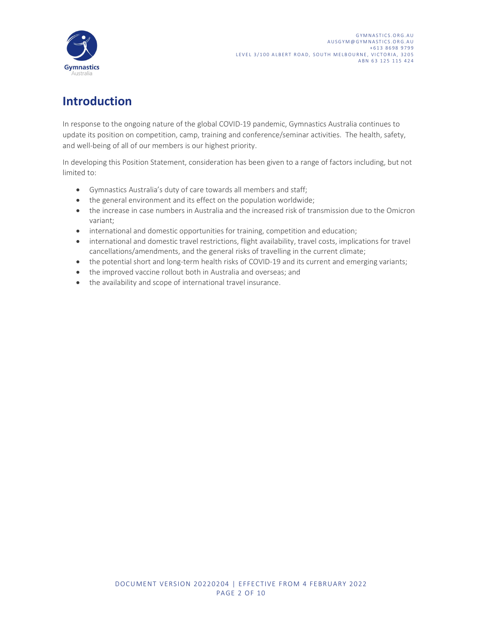

# Introduction

In response to the ongoing nature of the global COVID-19 pandemic, Gymnastics Australia continues to update its position on competition, camp, training and conference/seminar activities. The health, safety, and well-being of all of our members is our highest priority.

In developing this Position Statement, consideration has been given to a range of factors including, but not limited to:

- Gymnastics Australia's duty of care towards all members and staff;
- the general environment and its effect on the population worldwide;
- the increase in case numbers in Australia and the increased risk of transmission due to the Omicron variant;
- international and domestic opportunities for training, competition and education;
- international and domestic travel restrictions, flight availability, travel costs, implications for travel cancellations/amendments, and the general risks of travelling in the current climate;
- the potential short and long-term health risks of COVID-19 and its current and emerging variants;
- the improved vaccine rollout both in Australia and overseas; and
- the availability and scope of international travel insurance.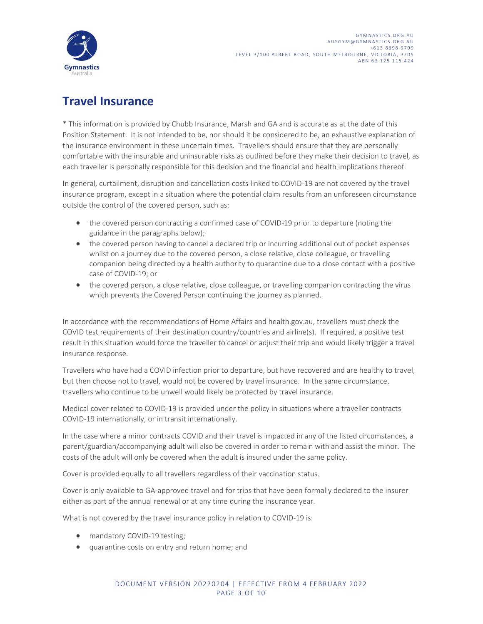

# Travel Insurance

\* This information is provided by Chubb Insurance, Marsh and GA and is accurate as at the date of this Position Statement. It is not intended to be, nor should it be considered to be, an exhaustive explanation of the insurance environment in these uncertain times. Travellers should ensure that they are personally comfortable with the insurable and uninsurable risks as outlined before they make their decision to travel, as each traveller is personally responsible for this decision and the financial and health implications thereof.

In general, curtailment, disruption and cancellation costs linked to COVID-19 are not covered by the travel insurance program, except in a situation where the potential claim results from an unforeseen circumstance outside the control of the covered person, such as:

- the covered person contracting a confirmed case of COVID-19 prior to departure (noting the guidance in the paragraphs below);
- the covered person having to cancel a declared trip or incurring additional out of pocket expenses whilst on a journey due to the covered person, a close relative, close colleague, or travelling companion being directed by a health authority to quarantine due to a close contact with a positive case of COVID-19; or
- the covered person, a close relative, close colleague, or travelling companion contracting the virus which prevents the Covered Person continuing the journey as planned.

In accordance with the recommendations of Home Affairs and health.gov.au, travellers must check the COVID test requirements of their destination country/countries and airline(s). If required, a positive test result in this situation would force the traveller to cancel or adjust their trip and would likely trigger a travel insurance response.

Travellers who have had a COVID infection prior to departure, but have recovered and are healthy to travel, but then choose not to travel, would not be covered by travel insurance. In the same circumstance, travellers who continue to be unwell would likely be protected by travel insurance.

Medical cover related to COVID-19 is provided under the policy in situations where a traveller contracts COVID-19 internationally, or in transit internationally.

ontinue to be unwell would likely be protected by travel insurance.<br>
Elated to COVID-19 is provided under the policy in situations where a traveller contracts<br>
ationally, or in transit internationally.<br>
The a minor contrac ry = are the policy in situations where a traveller contracts<br>unally.<br>their travel is impacted in any of the listed circumstances, a<br>exceed in order to remain with and assist the minor. The<br>e adult is insured under the sam In the case where a minor contracts COVID and their travel is impacted in any of the listed circumstances, a parent/guardian/accompanying adult will also be covered in order to remain with and assist the minor. The costs of the adult will only be covered when the adult is insured under the same policy.

Cover is provided equally to all travellers regardless of their vaccination status.

Cover is only available to GA-approved travel and for trips that have been formally declared to the insurer either as part of the annual renewal or at any time during the insurance year.

What is not covered by the travel insurance policy in relation to COVID-19 is:

- mandatory COVID-19 testing;
- quarantine costs on entry and return home; and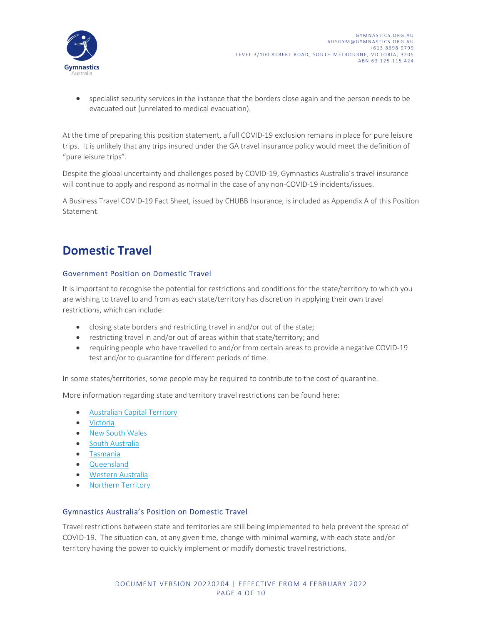

 specialist security services in the instance that the borders close again and the person needs to be evacuated out (unrelated to medical evacuation).

At the time of preparing this position statement, a full COVID-19 exclusion remains in place for pure leisure trips. It is unlikely that any trips insured under the GA travel insurance policy would meet the definition of "pure leisure trips".

Despite the global uncertainty and challenges posed by COVID-19, Gymnastics Australia's travel insurance will continue to apply and respond as normal in the case of any non-COVID-19 incidents/issues.

A Business Travel COVID-19 Fact Sheet, issued by CHUBB Insurance, is included as Appendix A of this Position Statement.

### Domestic Travel

#### Government Position on Domestic Travel

It is important to recognise the potential for restrictions and conditions for the state/territory to which you are wishing to travel to and from as each state/territory has discretion in applying their own travel restrictions, which can include:

- closing state borders and restricting travel in and/or out of the state;
- restricting travel in and/or out of areas within that state/territory; and
- requiring people who have travelled to and/or from certain areas to provide a negative COVID-19 test and/or to quarantine for different periods of time.

In some states/territories, some people may be required to contribute to the cost of quarantine.

More information regarding state and territory travel restrictions can be found here:

- Australian Capital Territory
- Victoria
- New South Wales
- South Australia
- Tasmania
- Queensland
- Western Australia
- 

# • Northern Territory<br>
Gymnastics Australia's Position on Domestic Travel

on regarding state and territory travel restrictions can be found here:<br>
an Capital Territory<br>
uth Wales<br>
ustralia<br>
ian<br>
<u>Australia</u><br> **stralia's Position on Domestic Travel**<br>
stralia's Position on Domestic Travel<br>
stradia' travel restrictions can be found here:<br>
ic Travel<br>
s are still being implemented to help prevent the spread of<br>
, change with minimal warning, with each state and/or<br>
tor modify domestic travel restrictions.<br>
204 | EFFECTI Travel restrictions between state and territories are still being implemented to help prevent the spread of COVID-19. The situation can, at any given time, change with minimal warning, with each state and/or territory having the power to quickly implement or modify domestic travel restrictions.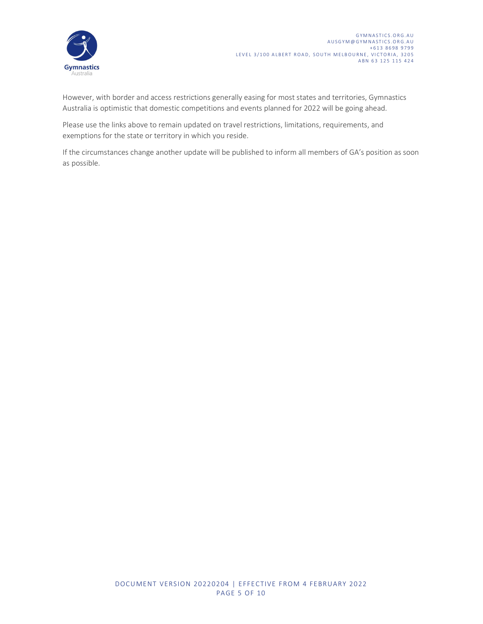

EVEL 3/100 ALBERT ROAD, SOUTH MELBOURNE, VICTORIA, 3205<br>
AUSGYMNASTICS.ORG.AU<br>
AUSGYMNASTICS.ORG.AU<br>
AUSGYMNASTICS.ORG.AU<br>
AUSGYMNASTICS.ORG.AU<br>
AUSGYMNASTICS.ORG.AU<br>
AUSGYMNASTICS.ORG.AU<br>
AUSGYMNASTICS.ORG.AU<br>
AUSGYMNASTI Australia is optimistic that domestic competitions and events planned for 2022 will be going ahead.

Please use the links above to remain updated on travel restrictions, limitations, requirements, and exemptions for the state or territory in which you reside.

If the circumstances change another update will be published to inform all members of GA's position as soon as possible.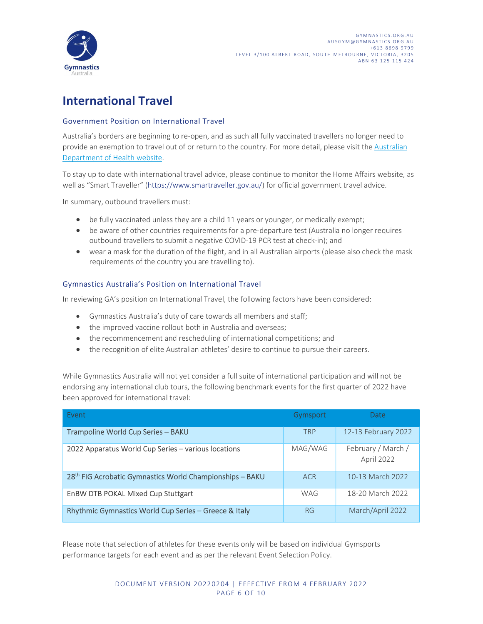

## International Travel

#### Government Position on International Travel

Australia's borders are beginning to re-open, and as such all fully vaccinated travellers no longer need to provide an exemption to travel out of or return to the country. For more detail, please visit the Australian Department of Health website.<br>To stay up to date with international travel advice, please continue to monitor the Home Affairs website, as

well as "Smart Traveller" (https://www.smartraveller.gov.au/) for official government travel advice.

In summary, outbound travellers must:

- be fully vaccinated unless they are a child 11 years or younger, or medically exempt;
- be aware of other countries requirements for a pre-departure test (Australia no longer requires outbound travellers to submit a negative COVID-19 PCR test at check-in); and
- wear a mask for the duration of the flight, and in all Australian airports (please also check the mask requirements of the country you are travelling to).

#### Gymnastics Australia's Position on International Travel

In reviewing GA's position on International Travel, the following factors have been considered:

- Gymnastics Australia's duty of care towards all members and staff;
- the improved vaccine rollout both in Australia and overseas;
- the recommencement and rescheduling of international competitions; and
- the recognition of elite Australian athletes' desire to continue to pursue their careers.

While Gymnastics Australia will not yet consider a full suite of international participation and will not be endorsing any international club tours, the following benchmark events for the first quarter of 2022 have been approved for international travel: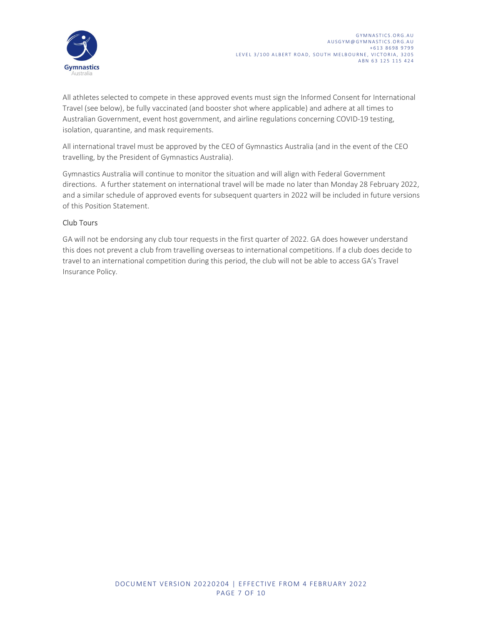

EVEL 3/100 ALBERT ROAD, SOUTH MELBOURNE, VICTORIA, 3205<br>
AUSGYMPGGYMNASTICS.ORG.AU<br>
AUSGYMPGGYMNASTICS.ORG.AU<br>
AUSGYMPGGYMNASTICS.ORG.AU<br>
TEVEL 3/100 ALBERT ROAD, SOUTH MELBOURNE, VICTORIA, 3205<br>
ABN 63.125.115.424<br>
ABN 63 Travel (see below), be fully vaccinated (and booster shot where applicable) and adhere at all times to Australian Government, event host government, and airline regulations concerning COVID-19 testing, isolation, quarantine, and mask requirements.

All international travel must be approved by the CEO of Gymnastics Australia (and in the event of the CEO travelling, by the President of Gymnastics Australia).

Gymnastics Australia will continue to monitor the situation and will align with Federal Government directions. A further statement on international travel will be made no later than Monday 28 February 2022, and a similar schedule of approved events for subsequent quarters in 2022 will be included in future versions of this Position Statement.

#### Club Tours

GA will not be endorsing any club tour requests in the first quarter of 2022. GA does however understand this does not prevent a club from travelling overseas to international competitions. If a club does decide to travel to an international competition during this period, the club will not be able to access GA's Travel Insurance Policy.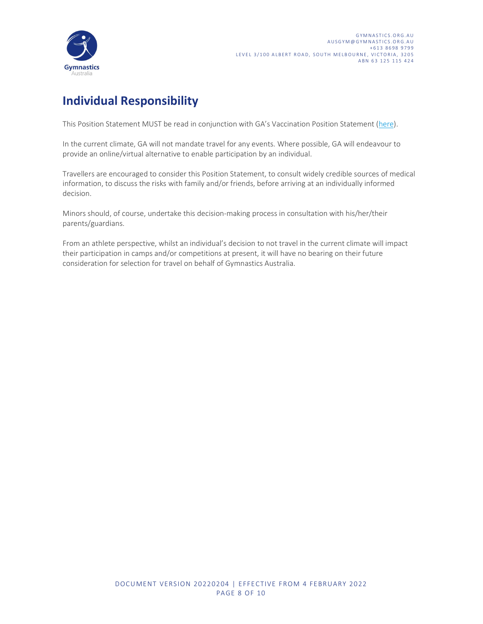

# Individual Responsibility

This Position Statement MUST be read in conjunction with GA's Vaccination Position Statement (here).

In the current climate, GA will not mandate travel for any events. Where possible, GA will endeavour to provide an online/virtual alternative to enable participation by an individual.

Travellers are encouraged to consider this Position Statement, to consult widely credible sources of medical information, to discuss the risks with family and/or friends, before arriving at an individually informed decision.

Minors should, of course, undertake this decision-making process in consultation with his/her/their parents/guardians.

From an athlete perspective, whilst an individual's decision to not travel in the current climate will impact their participation in camps and/or competitions at present, it will have no bearing on their future consideration for selection for travel on behalf of Gymnastics Australia.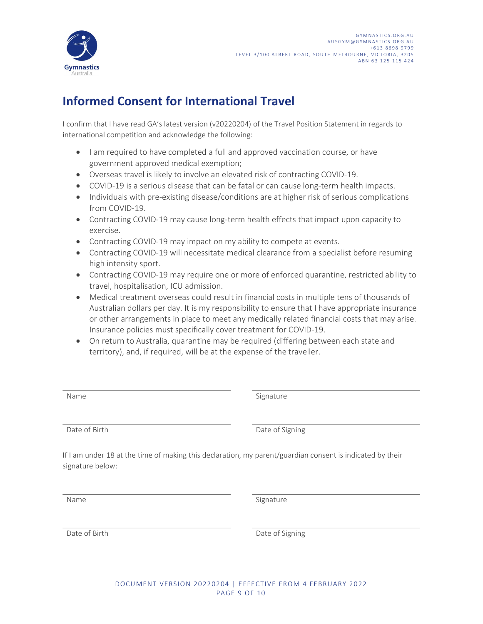

# Informed Consent for International Travel

I confirm that I have read GA's latest version (v20220204) of the Travel Position Statement in regards to international competition and acknowledge the following:

- I am required to have completed a full and approved vaccination course, or have government approved medical exemption;
- Overseas travel is likely to involve an elevated risk of contracting COVID-19.
- COVID-19 is a serious disease that can be fatal or can cause long-term health impacts.
- Individuals with pre-existing disease/conditions are at higher risk of serious complications from COVID-19.
- Contracting COVID-19 may cause long-term health effects that impact upon capacity to exercise.
- Contracting COVID-19 may impact on my ability to compete at events.
- Contracting COVID-19 will necessitate medical clearance from a specialist before resuming high intensity sport.
- Contracting COVID-19 may require one or more of enforced quarantine, restricted ability to travel, hospitalisation, ICU admission.
- Medical treatment overseas could result in financial costs in multiple tens of thousands of Australian dollars per day. It is my responsibility to ensure that I have appropriate insurance or other arrangements in place to meet any medically related financial costs that may arise. Insurance policies must specifically cover treatment for COVID-19.
- On return to Australia, quarantine may be required (differing between each state and territory), and, if required, will be at the expense of the traveller.

Name Signature Signature

and Date of Birth Date of Signing Date of Signing

Signature<br>
Date of Signing<br>
at the time of making this declaration, my parent/guardian consent is indicated by their<br>
.<br>
Signature<br>
Date of Signing<br>
DOCUMENT VERSION 20220204 | EFFECTIVE FROM 4 FEBRUARY 2022<br>
PAGE 9 OF 10 Signature<br>
Date of Signing<br>
aration, my parent/guardian consent is indicated by their<br>
Signature<br>
Date of Signing<br>
Date of Signing<br>
204 | EFFECTIVE FROM 4 FEBRUARY 2022<br>
PAGE 9 OF 10 If I am under 18 at the time of making this declaration, my parent/guardian consent is indicated by their signature below:

Name Signature Signature

Date of Birth Date of Signing